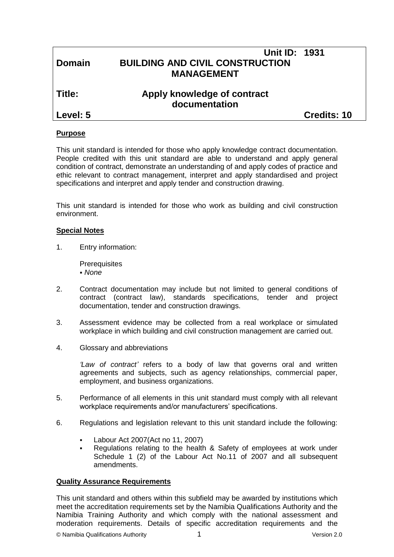| <b>Domain</b> | <b>Unit ID: 1931</b><br><b>BUILDING AND CIVIL CONSTRUCTION</b><br><b>MANAGEMENT</b> |                    |
|---------------|-------------------------------------------------------------------------------------|--------------------|
| Title:        | Apply knowledge of contract<br>documentation                                        |                    |
| Level: 5      |                                                                                     | <b>Credits: 10</b> |
|               |                                                                                     |                    |

#### **Purpose**

This unit standard is intended for those who apply knowledge contract documentation. People credited with this unit standard are able to understand and apply general condition of contract, demonstrate an understanding of and apply codes of practice and ethic relevant to contract management, interpret and apply standardised and project specifications and interpret and apply tender and construction drawing.

This unit standard is intended for those who work as building and civil construction environment.

#### **Special Notes**

1. Entry information:

**Prerequisites** *None*

- 2. Contract documentation may include but not limited to general conditions of contract (contract law), standards specifications, tender and project documentation, tender and construction drawings.
- 3. Assessment evidence may be collected from a real workplace or simulated workplace in which building and civil construction management are carried out.
- 4. Glossary and abbreviations

*'Law of contract'* refers to a body of law that governs oral and written agreements and subjects, such as agency relationships, commercial paper, employment, and business organizations.

- 5. Performance of all elements in this unit standard must comply with all relevant workplace requirements and/or manufacturers' specifications.
- 6. Regulations and legislation relevant to this unit standard include the following:
	- Labour Act 2007(Act no 11, 2007)
	- Regulations relating to the health & Safety of employees at work under Schedule 1 (2) of the Labour Act No.11 of 2007 and all subsequent amendments.

#### **Quality Assurance Requirements**

This unit standard and others within this subfield may be awarded by institutions which meet the accreditation requirements set by the Namibia Qualifications Authority and the Namibia Training Authority and which comply with the national assessment and moderation requirements. Details of specific accreditation requirements and the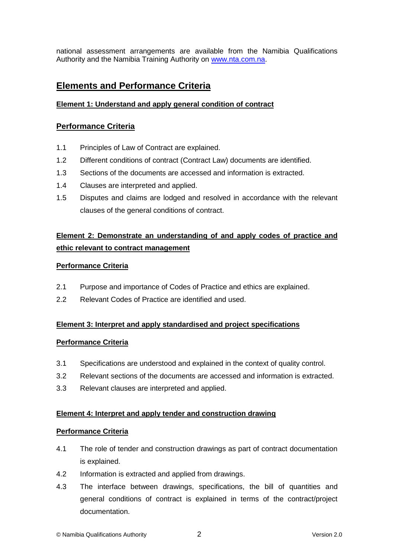national assessment arrangements are available from the Namibia Qualifications Authority and the Namibia Training Authority on [www.nta.com.na.](http://www.nta.com.na/)

# **Elements and Performance Criteria**

### **Element 1: Understand and apply general condition of contract**

## **Performance Criteria**

- 1.1 Principles of Law of Contract are explained.
- 1.2 Different conditions of contract (Contract Law) documents are identified.
- 1.3 Sections of the documents are accessed and information is extracted.
- 1.4 Clauses are interpreted and applied.
- 1.5 Disputes and claims are lodged and resolved in accordance with the relevant clauses of the general conditions of contract.

## **Element 2: Demonstrate an understanding of and apply codes of practice and ethic relevant to contract management**

#### **Performance Criteria**

- 2.1 Purpose and importance of Codes of Practice and ethics are explained.
- 2.2 Relevant Codes of Practice are identified and used.

#### **Element 3: Interpret and apply standardised and project specifications**

#### **Performance Criteria**

- 3.1 Specifications are understood and explained in the context of quality control.
- 3.2 Relevant sections of the documents are accessed and information is extracted.
- 3.3 Relevant clauses are interpreted and applied.

#### **Element 4: Interpret and apply tender and construction drawing**

#### **Performance Criteria**

- 4.1 The role of tender and construction drawings as part of contract documentation is explained.
- 4.2 Information is extracted and applied from drawings.
- 4.3 The interface between drawings, specifications, the bill of quantities and general conditions of contract is explained in terms of the contract/project documentation.